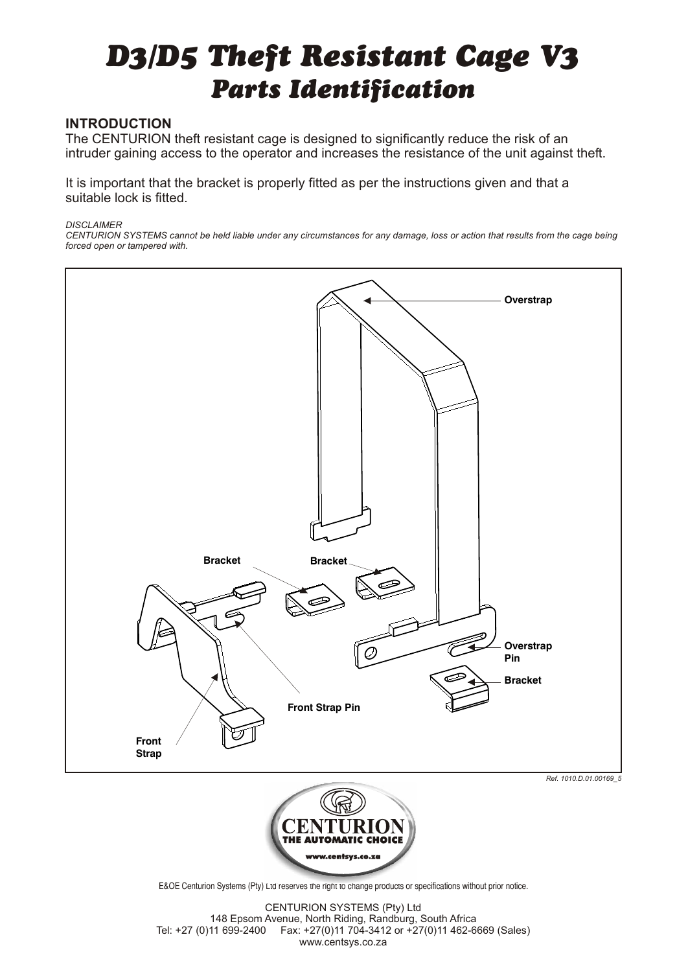## *D3/D5 Theft Resistant Cage V3 Parts Identification*

## **INTRODUCTION**

The CENTURION theft resistant cage is designed to significantly reduce the risk of an intruder gaining access to the operator and increases the resistance of the unit against theft.

It is important that the bracket is properly fitted as per the instructions given and that a suitable lock is fitted.

## *DISCLAIMER*

*CENTURION SYSTEMS cannot be held liable under any circumstances for any damage, loss or action that results from the cage being forced open or tampered with.*





E&OE Centurion Systems (Pty) Ltd reserves the right to change products or specifications without prior notice.

CENTURION SYSTEMS (Pty) Ltd 148 Epsom Avenue, North Riding, Randburg, South Africa Tel: +27 (0)11 699-2400 Fax: +27(0)11 704-3412 or +27(0)11 462-6669 (Sales) www.centsys.co.za